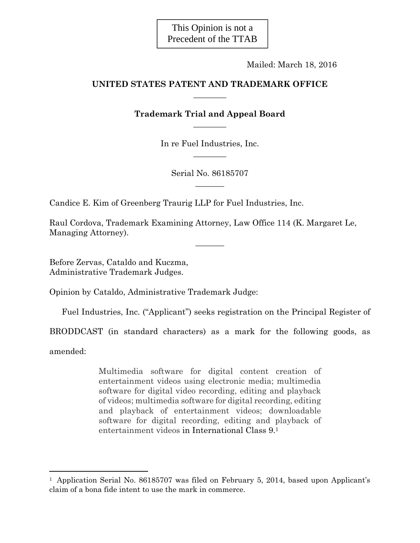### This Opinion is not a Precedent of the TTAB

Mailed: March 18, 2016

#### **UNITED STATES PATENT AND TRADEMARK OFFICE**   $\overline{\phantom{a}}$

#### **Trademark Trial and Appeal Board**   $\overline{\phantom{a}}$

In re Fuel Industries, Inc.  $\overline{\phantom{a}}$ 

> Serial No. 86185707  $\overline{\phantom{a}}$

Candice E. Kim of Greenberg Traurig LLP for Fuel Industries, Inc.

Raul Cordova, Trademark Examining Attorney, Law Office 114 (K. Margaret Le, Managing Attorney).

 $\overline{\phantom{a}}$ 

Before Zervas, Cataldo and Kuczma, Administrative Trademark Judges.

Opinion by Cataldo, Administrative Trademark Judge:

Fuel Industries, Inc. ("Applicant") seeks registration on the Principal Register of

BRODDCAST (in standard characters) as a mark for the following goods, as

amended:

÷,

Multimedia software for digital content creation of entertainment videos using electronic media; multimedia software for digital video recording, editing and playback of videos; multimedia software for digital recording, editing and playback of entertainment videos; downloadable software for digital recording, editing and playback of entertainment videos in International Class 9.1

<sup>&</sup>lt;sup>1</sup> Application Serial No. 86185707 was filed on February 5, 2014, based upon Applicant's claim of a bona fide intent to use the mark in commerce.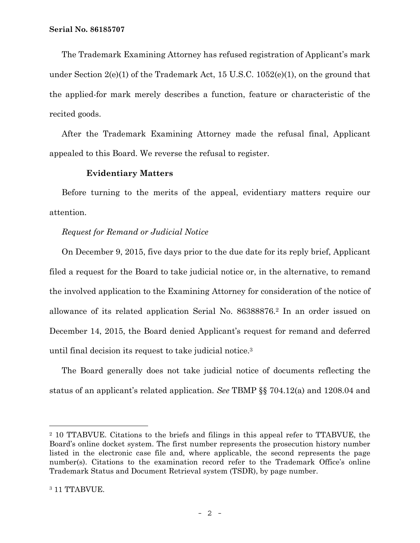The Trademark Examining Attorney has refused registration of Applicant's mark under Section 2(e)(1) of the Trademark Act, 15 U.S.C. 1052(e)(1), on the ground that the applied-for mark merely describes a function, feature or characteristic of the recited goods.

After the Trademark Examining Attorney made the refusal final, Applicant appealed to this Board. We reverse the refusal to register.

#### **Evidentiary Matters**

Before turning to the merits of the appeal, evidentiary matters require our attention.

#### *Request for Remand or Judicial Notice*

On December 9, 2015, five days prior to the due date for its reply brief, Applicant filed a request for the Board to take judicial notice or, in the alternative, to remand the involved application to the Examining Attorney for consideration of the notice of allowance of its related application Serial No. 86388876.2 In an order issued on December 14, 2015, the Board denied Applicant's request for remand and deferred until final decision its request to take judicial notice.3

The Board generally does not take judicial notice of documents reflecting the status of an applicant's related application. *See* TBMP §§ 704.12(a) and 1208.04 and

<sup>2 10</sup> TTABVUE. Citations to the briefs and filings in this appeal refer to TTABVUE, the Board's online docket system. The first number represents the prosecution history number listed in the electronic case file and, where applicable, the second represents the page number(s). Citations to the examination record refer to the Trademark Office's online Trademark Status and Document Retrieval system (TSDR), by page number.

<sup>&</sup>lt;sup>3</sup> 11 TTABVUE.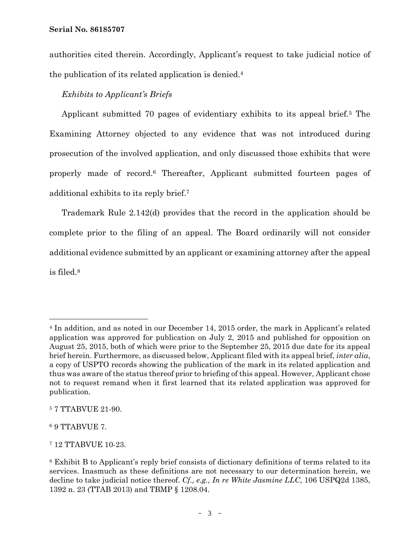authorities cited therein. Accordingly, Applicant's request to take judicial notice of the publication of its related application is denied.4

#### *Exhibits to Applicant's Briefs*

Applicant submitted 70 pages of evidentiary exhibits to its appeal brief.5 The Examining Attorney objected to any evidence that was not introduced during prosecution of the involved application, and only discussed those exhibits that were properly made of record.6 Thereafter, Applicant submitted fourteen pages of additional exhibits to its reply brief.7

Trademark Rule 2.142(d) provides that the record in the application should be complete prior to the filing of an appeal. The Board ordinarily will not consider additional evidence submitted by an applicant or examining attorney after the appeal is filed.8

6 9 TTABVUE 7.

<sup>4</sup> In addition, and as noted in our December 14, 2015 order, the mark in Applicant's related application was approved for publication on July 2, 2015 and published for opposition on August 25, 2015, both of which were prior to the September 25, 2015 due date for its appeal brief herein. Furthermore, as discussed below, Applicant filed with its appeal brief, *inter alia*, a copy of USPTO records showing the publication of the mark in its related application and thus was aware of the status thereof prior to briefing of this appeal. However, Applicant chose not to request remand when it first learned that its related application was approved for publication.

<sup>5 7</sup> TTABVUE 21-90.

<sup>7 12</sup> TTABVUE 10-23.

<sup>8</sup> Exhibit B to Applicant's reply brief consists of dictionary definitions of terms related to its services. Inasmuch as these definitions are not necessary to our determination herein, we decline to take judicial notice thereof. *Cf., e.g., In re White Jasmine LLC*, 106 USPQ2d 1385, 1392 n. 23 (TTAB 2013) and TBMP § 1208.04.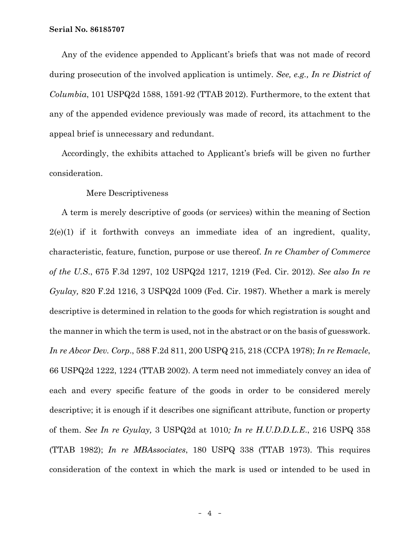Any of the evidence appended to Applicant's briefs that was not made of record during prosecution of the involved application is untimely. *See, e.g., In re District of Columbia*, 101 USPQ2d 1588, 1591-92 (TTAB 2012). Furthermore, to the extent that any of the appended evidence previously was made of record, its attachment to the appeal brief is unnecessary and redundant.

Accordingly, the exhibits attached to Applicant's briefs will be given no further consideration.

#### Mere Descriptiveness

A term is merely descriptive of goods (or services) within the meaning of Section  $2(e)(1)$  if it forthwith conveys an immediate idea of an ingredient, quality, characteristic, feature, function, purpose or use thereof. *In re Chamber of Commerce of the U.S*., 675 F.3d 1297, 102 USPQ2d 1217, 1219 (Fed. Cir. 2012). *See also In re Gyulay,* 820 F.2d 1216, 3 USPQ2d 1009 (Fed. Cir. 1987). Whether a mark is merely descriptive is determined in relation to the goods for which registration is sought and the manner in which the term is used, not in the abstract or on the basis of guesswork. *In re Abcor Dev. Corp*., 588 F.2d 811, 200 USPQ 215, 218 (CCPA 1978); *In re Remacle*, 66 USPQ2d 1222, 1224 (TTAB 2002). A term need not immediately convey an idea of each and every specific feature of the goods in order to be considered merely descriptive; it is enough if it describes one significant attribute, function or property of them. *See In re Gyulay,* 3 USPQ2d at 1010*; In re H.U.D.D.L.E*., 216 USPQ 358 (TTAB 1982); *In re MBAssociates*, 180 USPQ 338 (TTAB 1973). This requires consideration of the context in which the mark is used or intended to be used in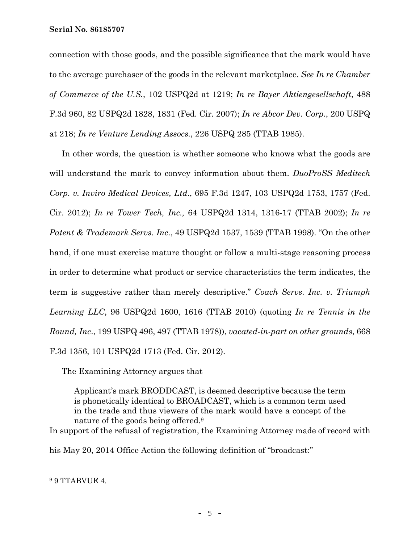connection with those goods, and the possible significance that the mark would have to the average purchaser of the goods in the relevant marketplace. *See In re Chamber of Commerce of the U.S.*, 102 USPQ2d at 1219; *In re Bayer Aktiengesellschaft*, 488 F.3d 960, 82 USPQ2d 1828, 1831 (Fed. Cir. 2007); *In re Abcor Dev. Corp*., 200 USPQ at 218; *In re Venture Lending Assocs.*, 226 USPQ 285 (TTAB 1985).

In other words, the question is whether someone who knows what the goods are will understand the mark to convey information about them. *DuoProSS Meditech Corp. v. Inviro Medical Devices, Ltd*., 695 F.3d 1247, 103 USPQ2d 1753, 1757 (Fed. Cir. 2012); *In re Tower Tech, Inc.,* 64 USPQ2d 1314, 1316-17 (TTAB 2002); *In re Patent & Trademark Servs. Inc*., 49 USPQ2d 1537, 1539 (TTAB 1998). "On the other hand, if one must exercise mature thought or follow a multi-stage reasoning process in order to determine what product or service characteristics the term indicates, the term is suggestive rather than merely descriptive." *Coach Servs. Inc. v. Triumph Learning LLC*, 96 USPQ2d 1600, 1616 (TTAB 2010) (quoting *In re Tennis in the Round, Inc*., 199 USPQ 496, 497 (TTAB 1978)), *vacated-in-part on other grounds*, 668 F.3d 1356, 101 USPQ2d 1713 (Fed. Cir. 2012).

The Examining Attorney argues that

Applicant's mark BRODDCAST, is deemed descriptive because the term is phonetically identical to BROADCAST, which is a common term used in the trade and thus viewers of the mark would have a concept of the nature of the goods being offered.9

In support of the refusal of registration, the Examining Attorney made of record with

his May 20, 2014 Office Action the following definition of "broadcast:"

<sup>9 9</sup> TTABVUE 4.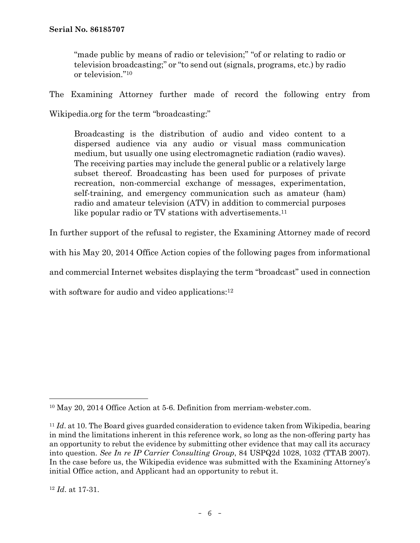"made public by means of radio or television;" "of or relating to radio or television broadcasting;" or "to send out (signals, programs, etc.) by radio or television."10

The Examining Attorney further made of record the following entry from

Wikipedia.org for the term "broadcasting:"

Broadcasting is the distribution of audio and video content to a dispersed audience via any audio or visual mass communication medium, but usually one using electromagnetic radiation (radio waves). The receiving parties may include the general public or a relatively large subset thereof. Broadcasting has been used for purposes of private recreation, non-commercial exchange of messages, experimentation, self-training, and emergency communication such as amateur (ham) radio and amateur television (ATV) in addition to commercial purposes like popular radio or TV stations with advertisements.<sup>11</sup>

In further support of the refusal to register, the Examining Attorney made of record

with his May 20, 2014 Office Action copies of the following pages from informational

and commercial Internet websites displaying the term "broadcast" used in connection

with software for audio and video applications:<sup>12</sup>

<sup>12</sup> *Id*. at 17-31.

<sup>10</sup> May 20, 2014 Office Action at 5-6. Definition from merriam-webster.com.

<sup>&</sup>lt;sup>11</sup> *Id.* at 10. The Board gives guarded consideration to evidence taken from Wikipedia, bearing in mind the limitations inherent in this reference work, so long as the non-offering party has an opportunity to rebut the evidence by submitting other evidence that may call its accuracy into question. *See In re IP Carrier Consulting Group*, 84 USPQ2d 1028, 1032 (TTAB 2007). In the case before us, the Wikipedia evidence was submitted with the Examining Attorney's initial Office action, and Applicant had an opportunity to rebut it.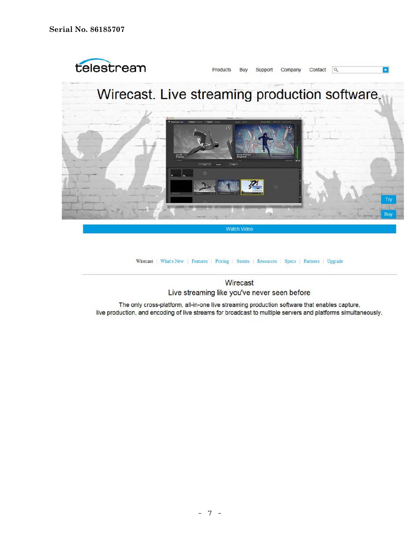

Wirecast | What's New | Features | Pricing | Stories | Resources | Specs | Partners | Upgrade

Wirecast

Live streaming like you've never seen before

The only cross-platform, all-in-one live streaming production software that enables capture, live production, and encoding of live streams for broadcast to multiple servers and platforms simultaneously.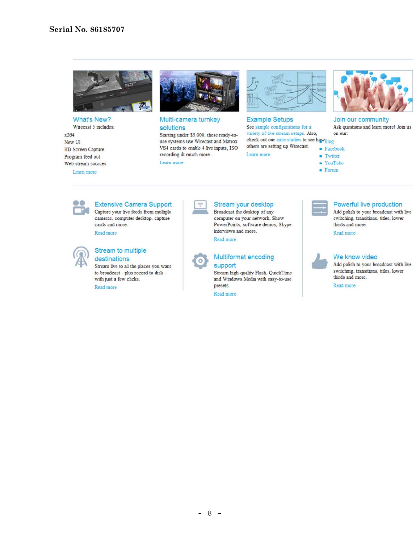

**Extensive Camera Support** 

Capture your live feeds from multiple

cameras, computer desktop, capture

Stream live to all the places you want

to broadcast - plus record to disk -

cards and more.

destinations

Stream to multiple

with just a few clicks.

Read more

Read more

What's New? Wirecast 5 includes: x264 New UI HD Screen Capture Program feed out Web stream sources

Learn more

80



#### Multi-camera turnkey solutions

Starting under \$5,000, these ready-touse systems use Wirecast and Matrox VS4 cards to enable 4 live inputs, ISO recording & much more

Learn more



**Example Setups** See sample configurations for a variety of live stream setups. Also, check out our case studies to see howBlog others are setting up Wirecast.

Learn more



Join our community

Ask questions and learn more! Join us on our:

- **Facebook**
- **Twitter**
- $\blacksquare$  YouTube
- $Form$

Broadcast the desktop of any computer on your network. Show PowerPoints, software demos, Skype interviews and more.

Read more



 $\hat{ }$ 

#### Multiformat encoding support

Stream your desktop

Stream high-quality Flash, QuickTime and Windows Media with easy-to-use presets.

Read more

#### Powerful live production

Add polish to your broadcast with live switching, transitions, titles, lower thirds and more.

Read more

#### We know video

Add polish to your broadcast with live switching, transitions, titles, lower thirds and more.

Read more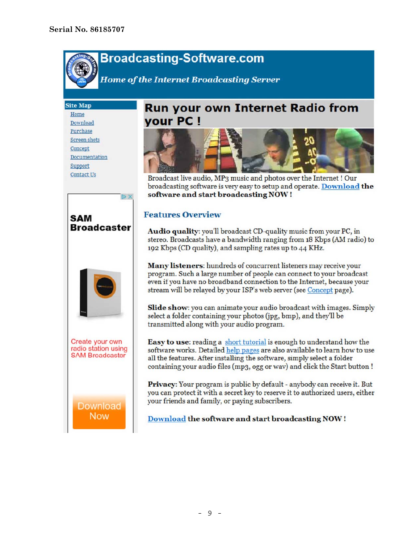



#### **Site Map**

Home Download Purchase **Screen shots** Concept Documentation Support **Contact Us** 

# $D \times$ SAM **Broadcaster** Create your own radio station using **SAM Broadcaster**

Download **Now** 

## **Run your own Internet Radio from** vour PC!



Broadcast live audio, MP3 music and photos over the Internet ! Our broadcasting software is very easy to setup and operate. Download the software and start broadcasting NOW!

#### **Features Overview**

**Audio quality:** you'll broadcast CD-quality music from your PC, in stereo. Broadcasts have a bandwidth ranging from 18 Kbps (AM radio) to 192 Kbps (CD quality), and sampling rates up to 44 KHz.

**Many listeners:** hundreds of concurrent listeners may receive your program. Such a large number of people can connect to your broadcast even if you have no broadband connection to the Internet, because your stream will be relayed by your ISP's web server (see Concept page).

**Slide show**: you can animate your audio broadcast with images. Simply select a folder containing your photos (jpg, bmp), and they'll be transmitted along with your audio program.

**Easy to use:** reading a short tutorial is enough to understand how the software works. Detailed help pages are also available to learn how to use all the features. After installing the software, simply select a folder containing your audio files (mp3, ogg or way) and click the Start button!

Privacy: Your program is public by default - anybody can receive it. But you can protect it with a secret key to reserve it to authorized users, either your friends and family, or paying subscribers.

#### Download the software and start broadcasting NOW!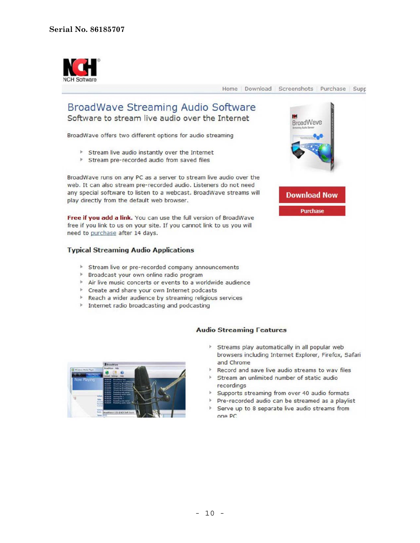

#### BroadWave Streaming Audio Software Software to stream live audio over the Internet

BroadWave offers two different options for audio streaming

- > Stream live audio instantly over the Internet
- > Stream pre-recorded audio from saved files

BroadWave runs on any PC as a server to stream live audio over the web. It can also stream pre-recorded audio. Listeners do not need any special software to listen to a webcast. BroadWave streams will play directly from the default web browser.

Free if you add a link. You can use the full version of BroadWave free if you link to us on your site. If you cannot link to us you will need to purchase after 14 days.

#### **Typical Streaming Audio Applications**

- > Stream live or pre-recorded company announcements
- > Broadcast your own online radio program
- Air live music concerts or events to a worldwide audience
- Create and share your own Internet podcasts
- Reach a wider audience by streaming religious services
- Internet radio broadcasting and podcasting





#### **Audio Streaming Features**

- Streams play automatically in all popular web browsers including Internet Explorer, Firefox, Safari and Chrome
- Record and save live audio streams to way files
- > Stream an unlimited number of static audio recordings
- Supports streaming from over 40 audio formats
- Pre-recorded audio can be streamed as a playlist
- > Serve up to 8 separate live audio streams from one PC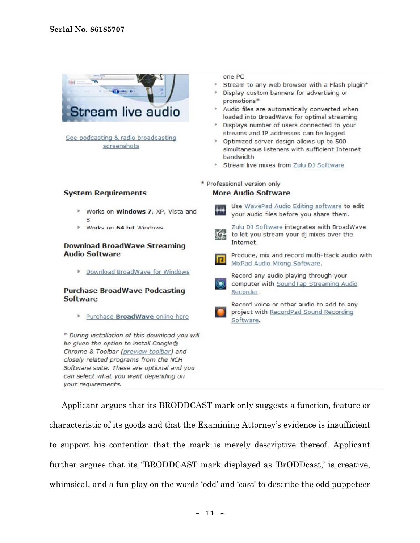| <b>NH</b> Good<br>ally sent as-<br><b>Stream live audio</b><br>See podcasting & radio broadcasting<br>screenshots | one PC<br>Stream to any web browser with a Flash plugin*<br>Display custom banners for advertising or<br>promotions*<br>Audio files are automatically converted when<br>loaded into BroadWave for optimal streaming<br>Displays number of users connected to your<br>Þ.<br>streams and IP addresses can be logged<br>Optimized server design allows up to 500<br>Þ.<br>simultaneous listeners with sufficient Internet<br>bandwidth<br>Stream live mixes from Zulu DJ Software<br>Þ. |
|-------------------------------------------------------------------------------------------------------------------|--------------------------------------------------------------------------------------------------------------------------------------------------------------------------------------------------------------------------------------------------------------------------------------------------------------------------------------------------------------------------------------------------------------------------------------------------------------------------------------|
|                                                                                                                   | * Professional version only                                                                                                                                                                                                                                                                                                                                                                                                                                                          |
| <b>System Requirements</b>                                                                                        | <b>More Audio Software</b>                                                                                                                                                                                                                                                                                                                                                                                                                                                           |
| Works on Windows 7, XP, Vista and<br>Þ.<br>8                                                                      | Use WavePad Audio Editing software to edit<br>$+ + +$<br>your audio files before you share them.                                                                                                                                                                                                                                                                                                                                                                                     |
| Works on 64 hit Windows<br>ь                                                                                      | Zulu DJ Software integrates with BroadWave<br>$G^{\prime}$<br>to let you stream your dj mixes over the                                                                                                                                                                                                                                                                                                                                                                               |
| <b>Download BroadWave Streaming</b>                                                                               | Internet.                                                                                                                                                                                                                                                                                                                                                                                                                                                                            |
| <b>Audio Software</b>                                                                                             | Produce, mix and record multi-track audio with<br>E<br>MixPad Audio Mixing Software.                                                                                                                                                                                                                                                                                                                                                                                                 |
| Download BroadWave for Windows                                                                                    | Record any audio playing through your<br>$\circledcirc$<br>computer with SoundTap Streaming Audio                                                                                                                                                                                                                                                                                                                                                                                    |
| <b>Purchase BroadWave Podcasting</b><br><b>Software</b>                                                           | Recorder.                                                                                                                                                                                                                                                                                                                                                                                                                                                                            |
| Purchase <b>BroadWave</b> online here                                                                             | Record voice or other audio to add to any<br>О<br>project with RecordPad Sound Recording<br>Software.                                                                                                                                                                                                                                                                                                                                                                                |
| * During installation of this download you will                                                                   |                                                                                                                                                                                                                                                                                                                                                                                                                                                                                      |
| be given the option to install Google®                                                                            |                                                                                                                                                                                                                                                                                                                                                                                                                                                                                      |
| Chrome & Toolbar (preview toolbar) and                                                                            |                                                                                                                                                                                                                                                                                                                                                                                                                                                                                      |
| closely related programs from the NCH                                                                             |                                                                                                                                                                                                                                                                                                                                                                                                                                                                                      |

Applicant argues that its BRODDCAST mark only suggests a function, feature or characteristic of its goods and that the Examining Attorney's evidence is insufficient to support his contention that the mark is merely descriptive thereof. Applicant further argues that its "BRODDCAST mark displayed as 'BrODDcast,' is creative, whimsical, and a fun play on the words 'odd' and 'cast' to describe the odd puppeteer

Software suite. These are optional and you can select what you want depending on

your requirements.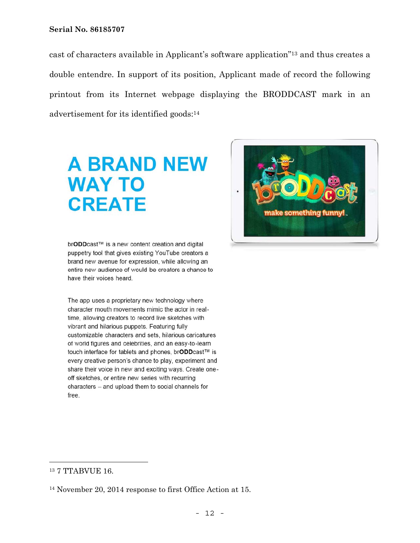cast of characters available in Applicant's software application"13 and thus creates a double entendre. In support of its position, Applicant made of record the following printout from its Internet webpage displaying the BRODDCAST mark in an advertisement for its identified goods:14

## **A BRAND NEW WAY TO CREATE**

brODDcast™ is a new content creation and digital puppetry tool that gives existing YouTube creators a brand new avenue for expression, while allowing an entire new audience of would-be creators a chance to have their voices heard.

The app uses a proprietary new technology where character mouth movements mimic the actor in realtime, allowing creators to record live sketches with vibrant and hilarious puppets. Featuring fully customizable characters and sets, hilarious caricatures of world figures and celebrities, and an easy-to-learn touch interface for tablets and phones, brODDcast™ is every creative person's chance to play, experiment and share their voice in new and exciting ways. Create oneoff sketches, or entire new series with recurring characters - and upload them to social channels for free.



—<br>—

<sup>13 7</sup> TTABVUE 16.

<sup>14</sup> November 20, 2014 response to first Office Action at 15.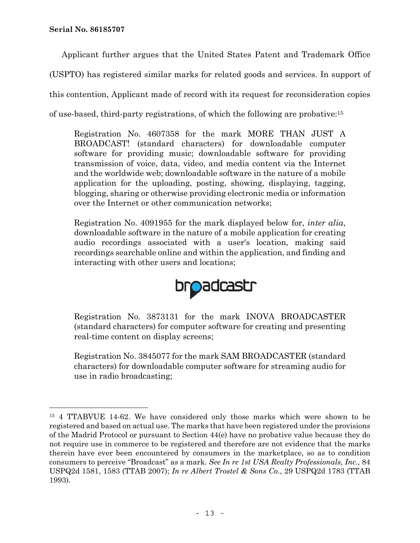÷,

Applicant further argues that the United States Patent and Trademark Office (USPTO) has registered similar marks for related goods and services. In support of this contention, Applicant made of record with its request for reconsideration copies of use-based, third-party registrations, of which the following are probative:15

Registration No. 4607358 for the mark MORE THAN JUST A BROADCAST! (standard characters) for downloadable computer software for providing music; downloadable software for providing transmission of voice, data, video, and media content via the Internet and the worldwide web; downloadable software in the nature of a mobile application for the uploading, posting, showing, displaying, tagging, blogging, sharing or otherwise providing electronic media or information over the Internet or other communication networks;

Registration No. 4091955 for the mark displayed below for, *inter alia*, downloadable software in the nature of a mobile application for creating audio recordings associated with a user's location, making said recordings searchable online and within the application, and finding and interacting with other users and locations;



Registration No. 3873131 for the mark INOVA BROADCASTER (standard characters) for computer software for creating and presenting real-time content on display screens;

Registration No. 3845077 for the mark SAM BROADCASTER (standard characters) for downloadable computer software for streaming audio for use in radio broadcasting;

<sup>15 4</sup> TTABVUE 14-62. We have considered only those marks which were shown to be registered and based on actual use. The marks that have been registered under the provisions of the Madrid Protocol or pursuant to Section 44(e) have no probative value because they do not require use in commerce to be registered and therefore are not evidence that the marks therein have ever been encountered by consumers in the marketplace, so as to condition consumers to perceive "Broadcast" as a mark. *See In re 1st USA Realty Professionals, Inc.,* 84 USPQ2d 1581, 1583 (TTAB 2007); *In re Albert Trostel & Sons Co.*, 29 USPQ2d 1783 (TTAB 1993).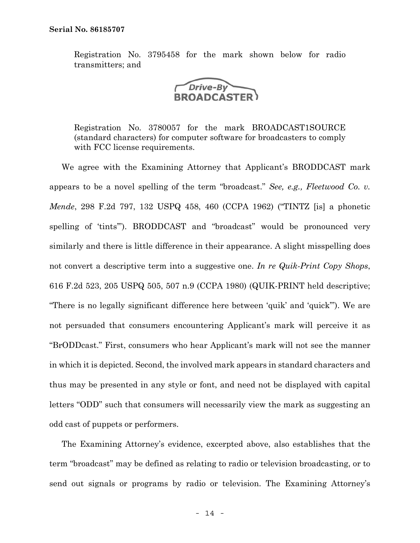Registration No. 3795458 for the mark shown below for radio transmitters; and

**Drive-By BROADCASTER** 

Registration No. 3780057 for the mark BROADCAST1SOURCE (standard characters) for computer software for broadcasters to comply with FCC license requirements.

We agree with the Examining Attorney that Applicant's BRODDCAST mark appears to be a novel spelling of the term "broadcast." *See, e.g., Fleetwood Co. v. Mende*, 298 F.2d 797, 132 USPQ 458, 460 (CCPA 1962) ("TINTZ [is] a phonetic spelling of 'tints'"). BRODDCAST and "broadcast" would be pronounced very similarly and there is little difference in their appearance. A slight misspelling does not convert a descriptive term into a suggestive one. *In re Quik-Print Copy Shops*, 616 F.2d 523, 205 USPQ 505, 507 n.9 (CCPA 1980) (QUIK-PRINT held descriptive; "There is no legally significant difference here between 'quik' and 'quick'"). We are not persuaded that consumers encountering Applicant's mark will perceive it as "BrODDcast." First, consumers who hear Applicant's mark will not see the manner in which it is depicted. Second, the involved mark appears in standard characters and thus may be presented in any style or font, and need not be displayed with capital letters "ODD" such that consumers will necessarily view the mark as suggesting an odd cast of puppets or performers.

The Examining Attorney's evidence, excerpted above, also establishes that the term "broadcast" may be defined as relating to radio or television broadcasting, or to send out signals or programs by radio or television. The Examining Attorney's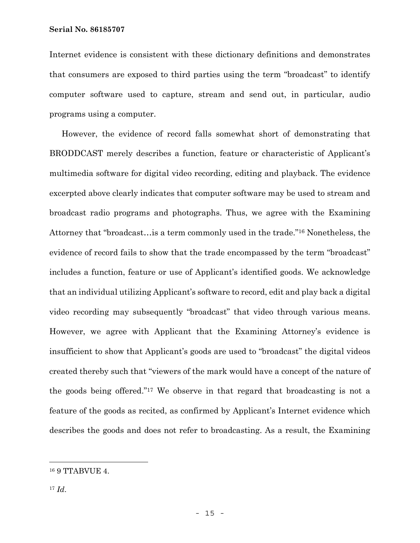Internet evidence is consistent with these dictionary definitions and demonstrates that consumers are exposed to third parties using the term "broadcast" to identify computer software used to capture, stream and send out, in particular, audio programs using a computer.

However, the evidence of record falls somewhat short of demonstrating that BRODDCAST merely describes a function, feature or characteristic of Applicant's multimedia software for digital video recording, editing and playback. The evidence excerpted above clearly indicates that computer software may be used to stream and broadcast radio programs and photographs. Thus, we agree with the Examining Attorney that "broadcast…is a term commonly used in the trade."16 Nonetheless, the evidence of record fails to show that the trade encompassed by the term "broadcast" includes a function, feature or use of Applicant's identified goods. We acknowledge that an individual utilizing Applicant's software to record, edit and play back a digital video recording may subsequently "broadcast" that video through various means. However, we agree with Applicant that the Examining Attorney's evidence is insufficient to show that Applicant's goods are used to "broadcast" the digital videos created thereby such that "viewers of the mark would have a concept of the nature of the goods being offered."17 We observe in that regard that broadcasting is not a feature of the goods as recited, as confirmed by Applicant's Internet evidence which describes the goods and does not refer to broadcasting. As a result, the Examining

<sup>16 9</sup> TTABVUE 4.